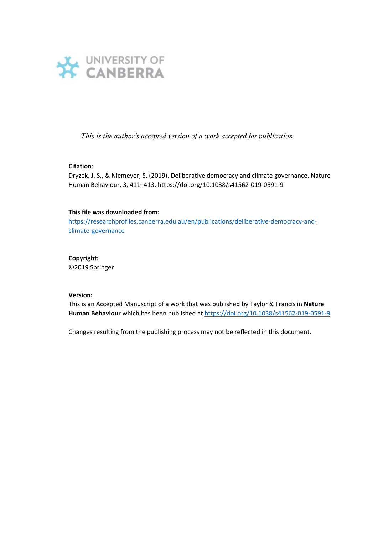

*This is the author's accepted version of a work accepted for publication*

## **Citation**:

Dryzek, J. S., & Niemeyer, S. (2019). Deliberative democracy and climate governance. Nature Human Behaviour, 3, 411–413. https://doi.org/10.1038/s41562-019-0591-9

## **This file was downloaded from:**

[https://researchprofiles.canberra.edu.au/en/publications/deliberative-democracy-and](https://researchprofiles.canberra.edu.au/en/publications/deliberative-democracy-and-climate-governance)[climate-governance](https://researchprofiles.canberra.edu.au/en/publications/deliberative-democracy-and-climate-governance) 

## **Copyright:**

©2019 Springer

#### **Version:**

This is an Accepted Manuscript of a work that was published by Taylor & Francis in **Nature Human Behaviour** which has been published at<https://doi.org/10.1038/s41562-019-0591-9>

Changes resulting from the publishing process may not be reflected in this document.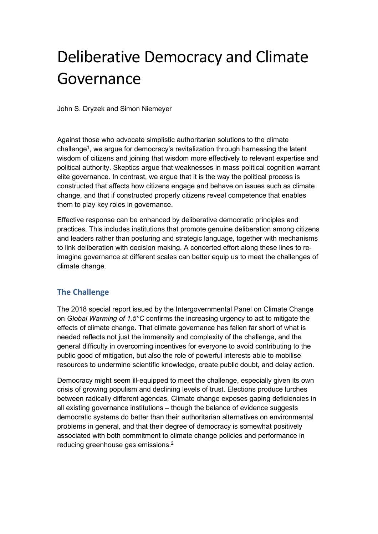# Deliberative Democracy and Climate Governance

John S. Dryzek and Simon Niemeyer

Against those who advocate simplistic authoritarian solutions to the climate challenge<sup>1</sup>, we argue for democracy's revitalization through harnessing the latent wisdom of citizens and joining that wisdom more effectively to relevant expertise and political authority. Skeptics argue that weaknesses in mass political cognition warrant elite governance. In contrast, we argue that it is the way the political process is constructed that affects how citizens engage and behave on issues such as climate change, and that if constructed properly citizens reveal competence that enables them to play key roles in governance.

Effective response can be enhanced by deliberative democratic principles and practices. This includes institutions that promote genuine deliberation among citizens and leaders rather than posturing and strategic language, together with mechanisms to link deliberation with decision making. A concerted effort along these lines to reimagine governance at different scales can better equip us to meet the challenges of climate change.

# **The Challenge**

The 2018 special report issued by the Intergovernmental Panel on Climate Change on *Global Warming of 1.5°C* confirms the increasing urgency to act to mitigate the effects of climate change. That climate governance has fallen far short of what is needed reflects not just the immensity and complexity of the challenge, and the general difficulty in overcoming incentives for everyone to avoid contributing to the public good of mitigation, but also the role of powerful interests able to mobilise resources to undermine scientific knowledge, create public doubt, and delay action.

Democracy might seem ill-equipped to meet the challenge, especially given its own crisis of growing populism and declining levels of trust. Elections produce lurches between radically different agendas. Climate change exposes gaping deficiencies in all existing governance institutions – though the balance of evidence suggests democratic systems do better than their authoritarian alternatives on environmental problems in general, and that their degree of democracy is somewhat positively associated with both commitment to climate change policies and performance in reducing greenhouse gas emissions.2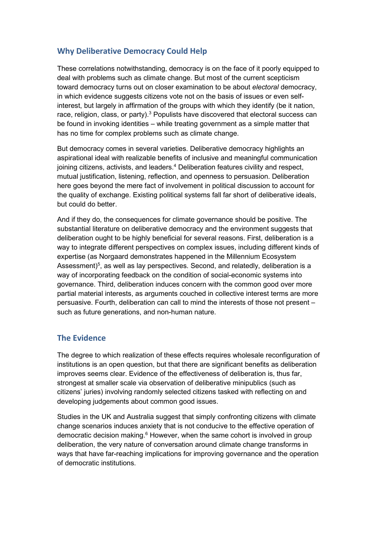# **Why Deliberative Democracy Could Help**

These correlations notwithstanding, democracy is on the face of it poorly equipped to deal with problems such as climate change. But most of the current scepticism toward democracy turns out on closer examination to be about *electoral* democracy, in which evidence suggests citizens vote not on the basis of issues or even selfinterest, but largely in affirmation of the groups with which they identify (be it nation, race, religion, class, or party). $3$  Populists have discovered that electoral success can be found in invoking identities – while treating government as a simple matter that has no time for complex problems such as climate change.

But democracy comes in several varieties. Deliberative democracy highlights an aspirational ideal with realizable benefits of inclusive and meaningful communication joining citizens, activists, and leaders.<sup>4</sup> Deliberation features civility and respect, mutual justification, listening, reflection, and openness to persuasion. Deliberation here goes beyond the mere fact of involvement in political discussion to account for the quality of exchange. Existing political systems fall far short of deliberative ideals, but could do better.

And if they do, the consequences for climate governance should be positive. The substantial literature on deliberative democracy and the environment suggests that deliberation ought to be highly beneficial for several reasons. First, deliberation is a way to integrate different perspectives on complex issues, including different kinds of expertise (as Norgaard demonstrates happened in the Millennium Ecosystem Assessment) $^5$ , as well as lay perspectives. Second, and relatedly, deliberation is a way of incorporating feedback on the condition of social-economic systems into governance. Third, deliberation induces concern with the common good over more partial material interests, as arguments couched in collective interest terms are more persuasive. Fourth, deliberation can call to mind the interests of those not present – such as future generations, and non-human nature.

## **The Evidence**

The degree to which realization of these effects requires wholesale reconfiguration of institutions is an open question, but that there are significant benefits as deliberation improves seems clear. Evidence of the effectiveness of deliberation is, thus far, strongest at smaller scale via observation of deliberative minipublics (such as citizens' juries) involving randomly selected citizens tasked with reflecting on and developing judgements about common good issues.

Studies in the UK and Australia suggest that simply confronting citizens with climate change scenarios induces anxiety that is not conducive to the effective operation of democratic decision making. <sup>6</sup> However, when the same cohort is involved in group deliberation, the very nature of conversation around climate change transforms in ways that have far-reaching implications for improving governance and the operation of democratic institutions.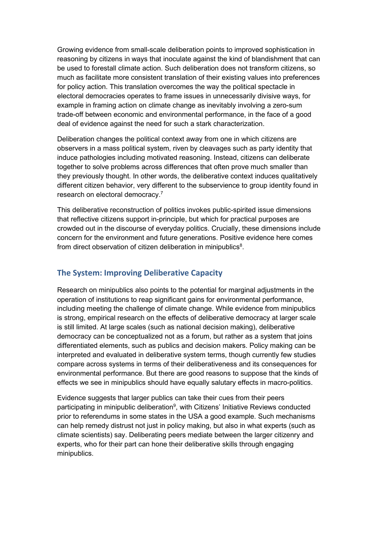Growing evidence from small-scale deliberation points to improved sophistication in reasoning by citizens in ways that inoculate against the kind of blandishment that can be used to forestall climate action. Such deliberation does not transform citizens, so much as facilitate more consistent translation of their existing values into preferences for policy action. This translation overcomes the way the political spectacle in electoral democracies operates to frame issues in unnecessarily divisive ways, for example in framing action on climate change as inevitably involving a zero-sum trade-off between economic and environmental performance, in the face of a good deal of evidence against the need for such a stark characterization.

Deliberation changes the political context away from one in which citizens are observers in a mass political system, riven by cleavages such as party identity that induce pathologies including motivated reasoning. Instead, citizens can deliberate together to solve problems across differences that often prove much smaller than they previously thought. In other words, the deliberative context induces qualitatively different citizen behavior, very different to the subservience to group identity found in research on electoral democracy. 7

This deliberative reconstruction of politics invokes public-spirited issue dimensions that reflective citizens support in-principle, but which for practical purposes are crowded out in the discourse of everyday politics. Crucially, these dimensions include concern for the environment and future generations. Positive evidence here comes from direct observation of citizen deliberation in minipublics $^8\!$ .

# **The System: Improving Deliberative Capacity**

Research on minipublics also points to the potential for marginal adjustments in the operation of institutions to reap significant gains for environmental performance, including meeting the challenge of climate change. While evidence from minipublics is strong, empirical research on the effects of deliberative democracy at larger scale is still limited. At large scales (such as national decision making), deliberative democracy can be conceptualized not as a forum, but rather as a system that joins differentiated elements, such as publics and decision makers. Policy making can be interpreted and evaluated in deliberative system terms, though currently few studies compare across systems in terms of their deliberativeness and its consequences for environmental performance. But there are good reasons to suppose that the kinds of effects we see in minipublics should have equally salutary effects in macro-politics.

Evidence suggests that larger publics can take their cues from their peers participating in minipublic deliberation<sup>9</sup>, with Citizens' Initiative Reviews conducted prior to referendums in some states in the USA a good example. Such mechanisms can help remedy distrust not just in policy making, but also in what experts (such as climate scientists) say. Deliberating peers mediate between the larger citizenry and experts, who for their part can hone their deliberative skills through engaging minipublics.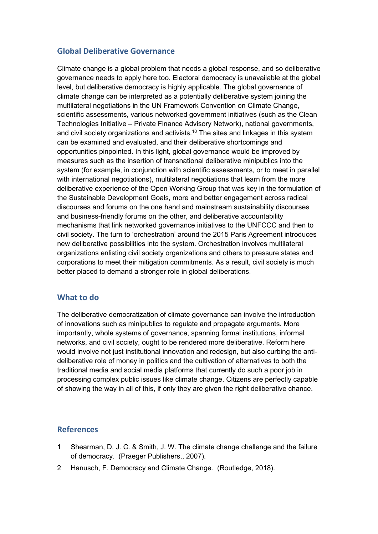# **Global Deliberative Governance**

Climate change is a global problem that needs a global response, and so deliberative governance needs to apply here too. Electoral democracy is unavailable at the global level, but deliberative democracy is highly applicable. The global governance of climate change can be interpreted as a potentially deliberative system joining the multilateral negotiations in the UN Framework Convention on Climate Change, scientific assessments, various networked government initiatives (such as the Clean Technologies Initiative – Private Finance Advisory Network), national governments, and civil society organizations and activists. $^{\mathsf{10}}$  The sites and linkages in this system  $\,$ can be examined and evaluated, and their deliberative shortcomings and opportunities pinpointed. In this light, global governance would be improved by measures such as the insertion of transnational deliberative minipublics into the system (for example, in conjunction with scientific assessments, or to meet in parallel with international negotiations), multilateral negotiations that learn from the more deliberative experience of the Open Working Group that was key in the formulation of the Sustainable Development Goals, more and better engagement across radical discourses and forums on the one hand and mainstream sustainability discourses and business-friendly forums on the other, and deliberative accountability mechanisms that link networked governance initiatives to the UNFCCC and then to civil society. The turn to 'orchestration' around the 2015 Paris Agreement introduces new deliberative possibilities into the system. Orchestration involves multilateral organizations enlisting civil society organizations and others to pressure states and corporations to meet their mitigation commitments. As a result, civil society is much better placed to demand a stronger role in global deliberations.

# **What to do**

The deliberative democratization of climate governance can involve the introduction of innovations such as minipublics to regulate and propagate arguments. More importantly, whole systems of governance, spanning formal institutions, informal networks, and civil society, ought to be rendered more deliberative. Reform here would involve not just institutional innovation and redesign, but also curbing the antideliberative role of money in politics and the cultivation of alternatives to both the traditional media and social media platforms that currently do such a poor job in processing complex public issues like climate change. Citizens are perfectly capable of showing the way in all of this, if only they are given the right deliberative chance.

## **References**

- 1 Shearman, D. J. C. & Smith, J. W. The climate change challenge and the failure of democracy. (Praeger Publishers,, 2007).
- 2 Hanusch, F. Democracy and Climate Change. (Routledge, 2018).